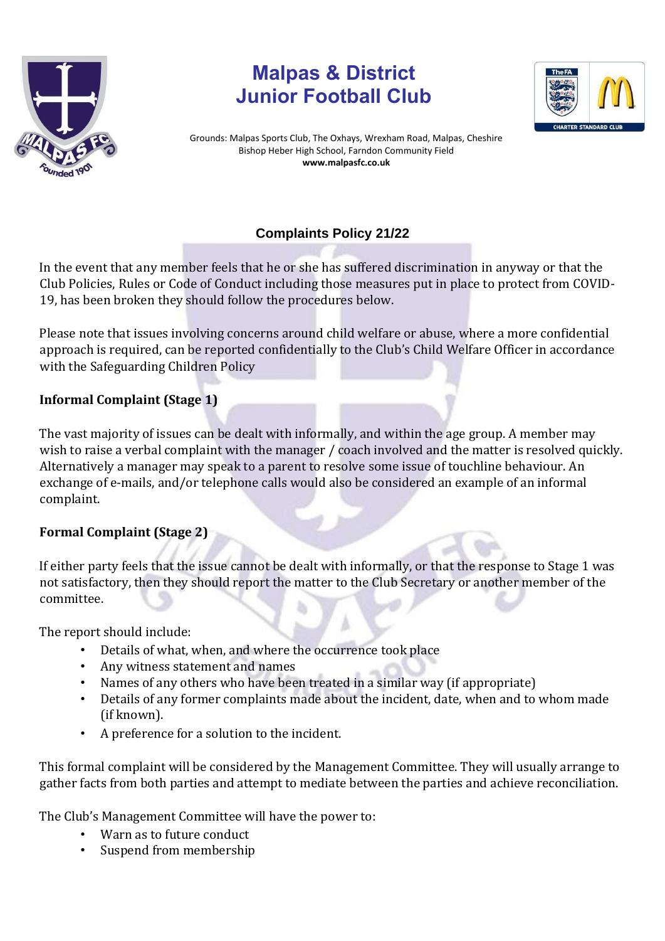

## **Malpas & District Junior Football Club**



Grounds: Malpas Sports Club, The Oxhays, Wrexham Road, Malpas, Cheshire Bishop Heber High School, Farndon Community Field **www.malpasfc.co.uk** 

## **Complaints Policy 21/22**

In the event that any member feels that he or she has suffered discrimination in anyway or that the Club Policies, Rules or Code of Conduct including those measures put in place to protect from COVID-19, has been broken they should follow the procedures below.

Please note that issues involving concerns around child welfare or abuse, where a more confidential approach is required, can be reported confidentially to the Club's Child Welfare Officer in accordance with the Safeguarding Children Policy

## **Informal Complaint (Stage 1)**

The vast majority of issues can be dealt with informally, and within the age group. A member may wish to raise a verbal complaint with the manager / coach involved and the matter is resolved quickly. Alternatively a manager may speak to a parent to resolve some issue of touchline behaviour. An exchange of e-mails, and/or telephone calls would also be considered an example of an informal complaint.

## **Formal Complaint (Stage 2)**

If either party feels that the issue cannot be dealt with informally, or that the response to Stage 1 was not satisfactory, then they should report the matter to the Club Secretary or another member of the committee.

The report should include:

- Details of what, when, and where the occurrence took place
- Any witness statement and names
- Names of any others who have been treated in a similar way (if appropriate)
- Details of any former complaints made about the incident, date, when and to whom made (if known).
- A preference for a solution to the incident.

This formal complaint will be considered by the Management Committee. They will usually arrange to gather facts from both parties and attempt to mediate between the parties and achieve reconciliation.

The Club's Management Committee will have the power to:

- Warn as to future conduct
- Suspend from membership